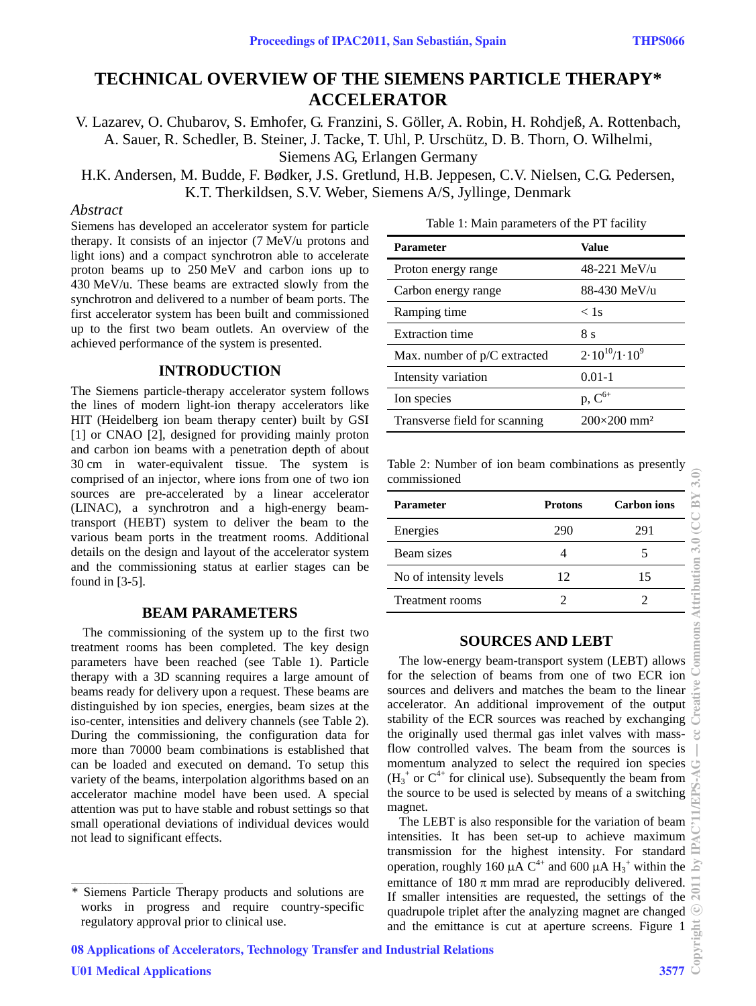# **TECHNICAL OVERVIEW OF THE SIEMENS PARTICLE THERAPY\* ACCELERATOR**

V. Lazarev, O. Chubarov, S. Emhofer, G. Franzini, S. Göller, A. Robin, H. Rohdjeß, A. Rottenbach, A. Sauer, R. Schedler, B. Steiner, J. Tacke, T. Uhl, P. Urschütz, D. B. Thorn, O. Wilhelmi, Siemens AG, Erlangen Germany

H.K. Andersen, M. Budde, F. Bødker, J.S. Gretlund, H.B. Jeppesen, C.V. Nielsen, C.G. Pedersen, K.T. Therkildsen, S.V. Weber, Siemens A/S, Jyllinge, Denmark

## *Abstract*

Siemens has developed an accelerator system for particle therapy. It consists of an injector (7 MeV/u protons and light ions) and a compact synchrotron able to accelerate proton beams up to 250 MeV and carbon ions up to 430 MeV/u. These beams are extracted slowly from the synchrotron and delivered to a number of beam ports. The first accelerator system has been built and commissioned up to the first two beam outlets. An overview of the achieved performance of the system is presented.

### **INTRODUCTION**

The Siemens particle-therapy accelerator system follows the lines of modern light-ion therapy accelerators like HIT (Heidelberg ion beam therapy center) built by GSI [1] or CNAO [2], designed for providing mainly proton and carbon ion beams with a penetration depth of about 30 cm in water-equivalent tissue. The system is comprised of an injector, where ions from one of two ion sources are pre-accelerated by a linear accelerator (LINAC), a synchrotron and a high-energy beamtransport (HEBT) system to deliver the beam to the various beam ports in the treatment rooms. Additional details on the design and layout of the accelerator system and the commissioning status at earlier stages can be found in [3-5].

### **BEAM PARAMETERS**

The commissioning of the system up to the first two treatment rooms has been completed. The key design parameters have been reached (see Table 1). Particle therapy with a 3D scanning requires a large amount of beams ready for delivery upon a request. These beams are distinguished by ion species, energies, beam sizes at the iso-center, intensities and delivery channels (see Table 2). During the commissioning, the configuration data for more than 70000 beam combinations is established that can be loaded and executed on demand. To setup this variety of the beams, interpolation algorithms based on an accelerator machine model have been used. A special attention was put to have stable and robust settings so that small operational deviations of individual devices would not lead to significant effects.

\_\_\_\_\_\_\_\_\_\_\_\_\_\_\_\_\_\_\_\_\_\_\_\_\_\_\_\_\_\_\_\_\_\_\_\_\_\_\_\_\_\_\_

| Table 1: Main parameters of the PT facility |  |  |  |
|---------------------------------------------|--|--|--|
|---------------------------------------------|--|--|--|

| <b>Parameter</b>              | Value                          |
|-------------------------------|--------------------------------|
| Proton energy range           | 48-221 MeV/u                   |
| Carbon energy range           | 88-430 MeV/u                   |
| Ramping time                  | $\langle$ 1s                   |
| <b>Extraction time</b>        | 8 s                            |
| Max. number of p/C extracted  | $2.10^{10}/1.10^{9}$           |
| Intensity variation           | $0.01 - 1$                     |
| Ion species                   | $p, C^{6+}$                    |
| Transverse field for scanning | $200\times200$ mm <sup>2</sup> |

Table 2: Number of ion beam combinations as presently commissioned

| Parameter              | <b>Protons</b> | Carbon ions |
|------------------------|----------------|-------------|
| Energies               | 290            | 291         |
| Beam sizes             |                |             |
| No of intensity levels | 12             | 15          |
| <b>Treatment rooms</b> |                |             |

### **SOURCES AND LEBT**

The low-energy beam-transport system (LEBT) allows for the selection of beams from one of two ECR ion sources and delivers and matches the beam to the linear accelerator. An additional improvement of the output stability of the ECR sources was reached by exchanging the originally used thermal gas inlet valves with massflow controlled valves. The beam from the sources is momentum analyzed to select the required ion species  $(H_3^+$  or  $C^{4+}$  for clinical use). Subsequently the beam from the source to be used is selected by means of a switching magnet.

The LEBT is also responsible for the variation of beam intensities. It has been set-up to achieve maximum transmission for the highest intensity. For standard operation, roughly 160  $\mu$ A C<sup>4+</sup> and 600  $\mu$ A H<sub>3</sub><sup>+</sup> within the emittance of  $180 \pi$  mm mrad are reproducibly delivered. If smaller intensities are requested, the settings of the quadrupole triplet after the analyzing magnet are changed and the emittance is cut at aperture screens. Figure 1

<sup>\*</sup> Siemens Particle Therapy products and solutions are works in progress and require country-specific regulatory approval prior to clinical use.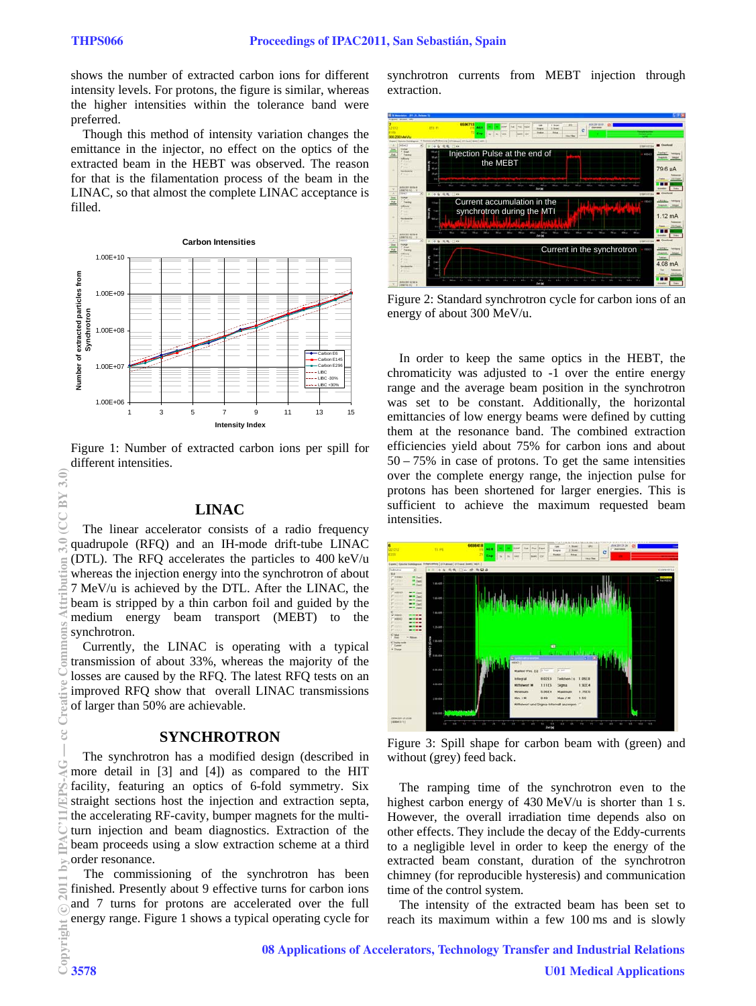shows the number of extracted carbon ions for different intensity levels. For protons, the figure is similar, whereas the higher intensities within the tolerance band were preferred.

Though this method of intensity variation changes the emittance in the injector, no effect on the optics of the extracted beam in the HEBT was observed. The reason for that is the filamentation process of the beam in the LINAC, so that almost the complete LINAC acceptance is filled.



Figure 1: Number of extracted carbon ions per spill for different intensities.

#### **LINAC**

The linear accelerator consists of a radio frequency quadrupole (RFQ) and an IH-mode drift-tube LINAC (DTL). The RFQ accelerates the particles to 400 keV/u whereas the injection energy into the synchrotron of about 7 MeV/u is achieved by the DTL. After the LINAC, the beam is stripped by a thin carbon foil and guided by the medium energy beam transport (MEBT) to the synchrotron.

Currently, the LINAC is operating with a typical transmission of about 33%, whereas the majority of the losses are caused by the RFQ. The latest RFQ tests on an improved RFQ show that overall LINAC transmissions of larger than 50% are achievable.

#### **SYNCHROTRON**

The synchrotron has a modified design (described in more detail in [3] and [4]) as compared to the HIT facility, featuring an optics of 6-fold symmetry. Six straight sections host the injection and extraction septa, the accelerating RF-cavity, bumper magnets for the multiturn injection and beam diagnostics. Extraction of the beam proceeds using a slow extraction scheme at a third order resonance.

The commissioning of the synchrotron has been finished. Presently about 9 effective turns for carbon ions and 7 turns for protons are accelerated over the full energy range. Figure 1 shows a typical operating cycle for synchrotron currents from MEBT injection through extraction.



Figure 2: Standard synchrotron cycle for carbon ions of an energy of about 300 MeV/u.

In order to keep the same optics in the HEBT, the chromaticity was adjusted to -1 over the entire energy range and the average beam position in the synchrotron was set to be constant. Additionally, the horizontal emittancies of low energy beams were defined by cutting them at the resonance band. The combined extraction efficiencies yield about 75% for carbon ions and about 50 – 75% in case of protons. To get the same intensities over the complete energy range, the injection pulse for protons has been shortened for larger energies. This is sufficient to achieve the maximum requested beam intensities.



Figure 3: Spill shape for carbon beam with (green) and without (grey) feed back.

The ramping time of the synchrotron even to the highest carbon energy of 430 MeV/u is shorter than 1 s. However, the overall irradiation time depends also on other effects. They include the decay of the Eddy-currents to a negligible level in order to keep the energy of the extracted beam constant, duration of the synchrotron chimney (for reproducible hysteresis) and communication time of the control system.

The intensity of the extracted beam has been set to reach its maximum within a few 100 ms and is slowly

 $CC$ BY 3.0